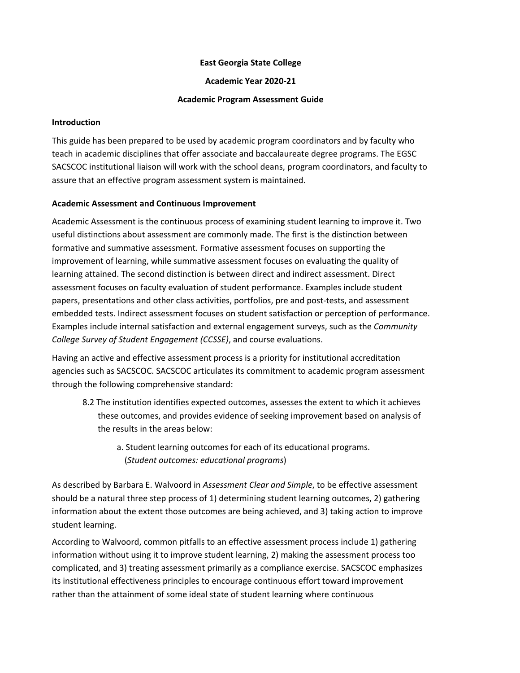#### **East Georgia State College**

**Academic Year 2020-21**

#### **Academic Program Assessment Guide**

#### **Introduction**

This guide has been prepared to be used by academic program coordinators and by faculty who teach in academic disciplines that offer associate and baccalaureate degree programs. The EGSC SACSCOC institutional liaison will work with the school deans, program coordinators, and faculty to assure that an effective program assessment system is maintained.

### **Academic Assessment and Continuous Improvement**

Academic Assessment is the continuous process of examining student learning to improve it. Two useful distinctions about assessment are commonly made. The first is the distinction between formative and summative assessment. Formative assessment focuses on supporting the improvement of learning, while summative assessment focuses on evaluating the quality of learning attained. The second distinction is between direct and indirect assessment. Direct assessment focuses on faculty evaluation of student performance. Examples include student papers, presentations and other class activities, portfolios, pre and post-tests, and assessment embedded tests. Indirect assessment focuses on student satisfaction or perception of performance. Examples include internal satisfaction and external engagement surveys, such as the *Community College Survey of Student Engagement (CCSSE)*, and course evaluations.

Having an active and effective assessment process is a priority for institutional accreditation agencies such as SACSCOC. SACSCOC articulates its commitment to academic program assessment through the following comprehensive standard:

- 8.2 The institution identifies expected outcomes, assesses the extent to which it achieves these outcomes, and provides evidence of seeking improvement based on analysis of the results in the areas below:
	- a. Student learning outcomes for each of its educational programs. (*Student outcomes: educational programs*)

As described by Barbara E. Walvoord in *Assessment Clear and Simple*, to be effective assessment should be a natural three step process of 1) determining student learning outcomes, 2) gathering information about the extent those outcomes are being achieved, and 3) taking action to improve student learning.

According to Walvoord, common pitfalls to an effective assessment process include 1) gathering information without using it to improve student learning, 2) making the assessment process too complicated, and 3) treating assessment primarily as a compliance exercise. SACSCOC emphasizes its institutional effectiveness principles to encourage continuous effort toward improvement rather than the attainment of some ideal state of student learning where continuous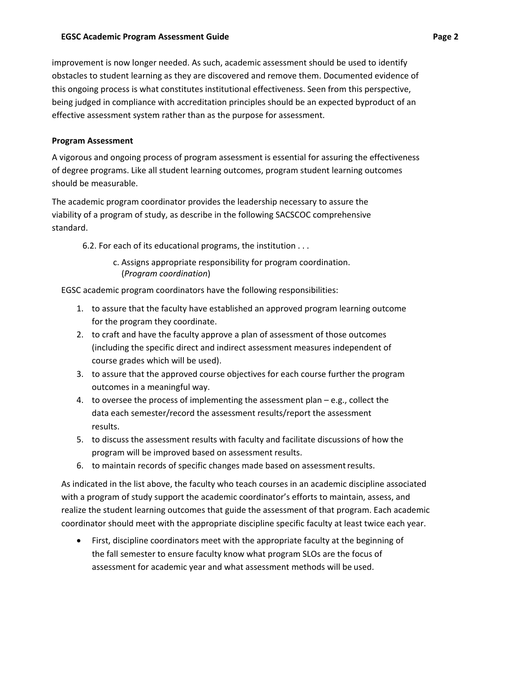improvement is now longer needed. As such, academic assessment should be used to identify obstacles to student learning as they are discovered and remove them. Documented evidence of this ongoing process is what constitutes institutional effectiveness. Seen from this perspective, being judged in compliance with accreditation principles should be an expected byproduct of an effective assessment system rather than as the purpose for assessment.

# **Program Assessment**

A vigorous and ongoing process of program assessment is essential for assuring the effectiveness of degree programs. Like all student learning outcomes, program student learning outcomes should be measurable.

The academic program coordinator provides the leadership necessary to assure the viability of a program of study, as describe in the following SACSCOC comprehensive standard.

6.2. For each of its educational programs, the institution . . .

c. Assigns appropriate responsibility for program coordination. (*Program coordination*)

EGSC academic program coordinators have the following responsibilities:

- 1. to assure that the faculty have established an approved program learning outcome for the program they coordinate.
- 2. to craft and have the faculty approve a plan of assessment of those outcomes (including the specific direct and indirect assessment measures independent of course grades which will be used).
- 3. to assure that the approved course objectives for each course further the program outcomes in a meaningful way.
- 4. to oversee the process of implementing the assessment plan e.g., collect the data each semester/record the assessment results/report the assessment results.
- 5. to discuss the assessment results with faculty and facilitate discussions of how the program will be improved based on assessment results.
- 6. to maintain records of specific changes made based on assessmentresults.

As indicated in the list above, the faculty who teach courses in an academic discipline associated with a program of study support the academic coordinator's efforts to maintain, assess, and realize the student learning outcomes that guide the assessment of that program. Each academic coordinator should meet with the appropriate discipline specific faculty at least twice each year.

• First, discipline coordinators meet with the appropriate faculty at the beginning of the fall semester to ensure faculty know what program SLOs are the focus of assessment for academic year and what assessment methods will be used.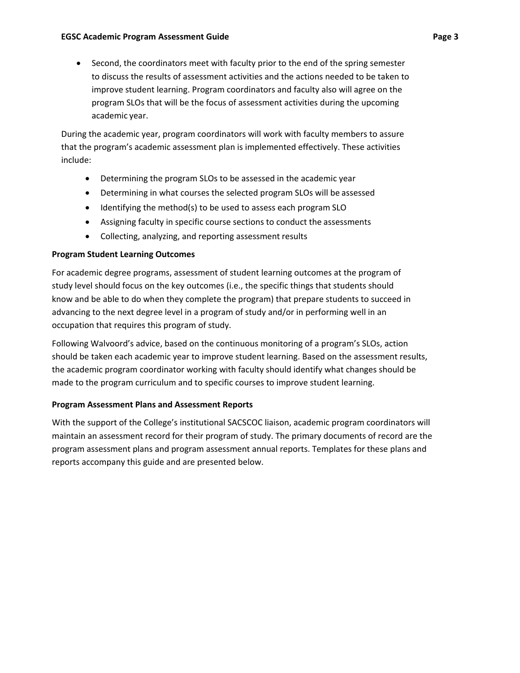• Second, the coordinators meet with faculty prior to the end of the spring semester to discuss the results of assessment activities and the actions needed to be taken to improve student learning. Program coordinators and faculty also will agree on the program SLOs that will be the focus of assessment activities during the upcoming academic year.

During the academic year, program coordinators will work with faculty members to assure that the program's academic assessment plan is implemented effectively. These activities include:

- Determining the program SLOs to be assessed in the academic year
- Determining in what courses the selected program SLOs will be assessed
- Identifying the method(s) to be used to assess each program SLO
- Assigning faculty in specific course sections to conduct the assessments
- Collecting, analyzing, and reporting assessment results

# **Program Student Learning Outcomes**

For academic degree programs, assessment of student learning outcomes at the program of study level should focus on the key outcomes (i.e., the specific things that students should know and be able to do when they complete the program) that prepare students to succeed in advancing to the next degree level in a program of study and/or in performing well in an occupation that requires this program of study.

Following Walvoord's advice, based on the continuous monitoring of a program's SLOs, action should be taken each academic year to improve student learning. Based on the assessment results, the academic program coordinator working with faculty should identify what changes should be made to the program curriculum and to specific courses to improve student learning.

# **Program Assessment Plans and Assessment Reports**

With the support of the College's institutional SACSCOC liaison, academic program coordinators will maintain an assessment record for their program of study. The primary documents of record are the program assessment plans and program assessment annual reports. Templates for these plans and reports accompany this guide and are presented below.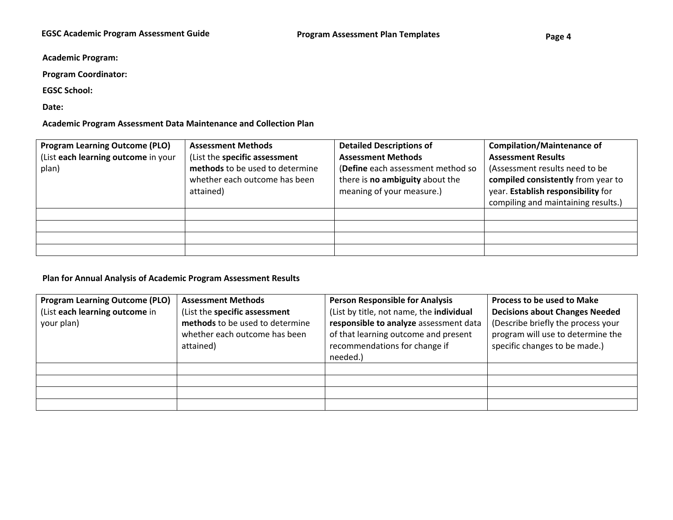**Academic Program:**

**Program Coordinator:** 

**EGSC School:**

**Date:** 

**Academic Program Assessment Data Maintenance and Collection Plan**

| <b>Program Learning Outcome (PLO)</b> | <b>Assessment Methods</b>       | <b>Detailed Descriptions of</b>   | <b>Compilation/Maintenance of</b>   |
|---------------------------------------|---------------------------------|-----------------------------------|-------------------------------------|
| (List each learning outcome in your   | (List the specific assessment   | <b>Assessment Methods</b>         | <b>Assessment Results</b>           |
| plan)                                 | methods to be used to determine | (Define each assessment method so | (Assessment results need to be      |
|                                       | whether each outcome has been   | there is no ambiguity about the   | compiled consistently from year to  |
|                                       | attained)                       | meaning of your measure.)         | year. Establish responsibility for  |
|                                       |                                 |                                   | compiling and maintaining results.) |
|                                       |                                 |                                   |                                     |
|                                       |                                 |                                   |                                     |
|                                       |                                 |                                   |                                     |
|                                       |                                 |                                   |                                     |

### **Plan for Annual Analysis of Academic Program Assessment Results**

| <b>Program Learning Outcome (PLO)</b><br>(List each learning outcome in<br>your plan) | <b>Assessment Methods</b><br>(List the specific assessment<br>methods to be used to determine<br>whether each outcome has been<br>attained) | <b>Person Responsible for Analysis</b><br>(List by title, not name, the individual<br>responsible to analyze assessment data<br>of that learning outcome and present<br>recommendations for change if<br>needed.) | Process to be used to Make<br><b>Decisions about Changes Needed</b><br>(Describe briefly the process your<br>program will use to determine the<br>specific changes to be made.) |
|---------------------------------------------------------------------------------------|---------------------------------------------------------------------------------------------------------------------------------------------|-------------------------------------------------------------------------------------------------------------------------------------------------------------------------------------------------------------------|---------------------------------------------------------------------------------------------------------------------------------------------------------------------------------|
|                                                                                       |                                                                                                                                             |                                                                                                                                                                                                                   |                                                                                                                                                                                 |
|                                                                                       |                                                                                                                                             |                                                                                                                                                                                                                   |                                                                                                                                                                                 |
|                                                                                       |                                                                                                                                             |                                                                                                                                                                                                                   |                                                                                                                                                                                 |